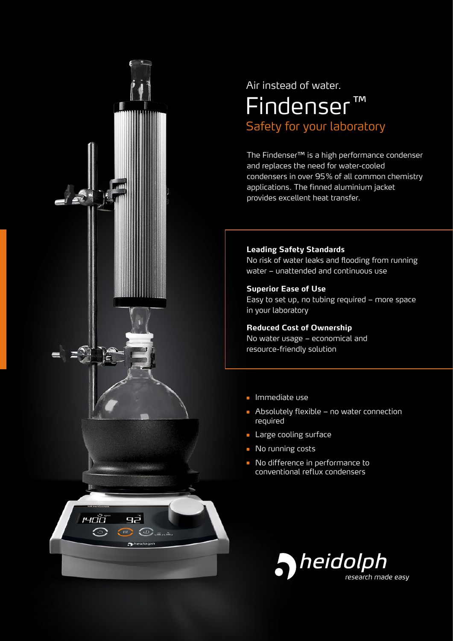

## Safety for your laboratory Findenser ™ Air instead of water.

The Findenser™ is a high performance condenser and replaces the need for water-cooled condensers in over 95% of all common chemistry applications. The finned aluminium jacket provides excellent heat transfer.

#### **Leading Safety Standards**

No risk of water leaks and flooding from running water – unattended and continuous use

#### **Superior Ease of Use**

Easy to set up, no tubing required – more space in your laboratory

#### **Reduced Cost of Ownership**

No water usage – economical and resource-friendly solution

- Immediate use
- Absolutely flexible no water connection required
- Large cooling surface
- No running costs
- No difference in performance to conventional reflux condensers